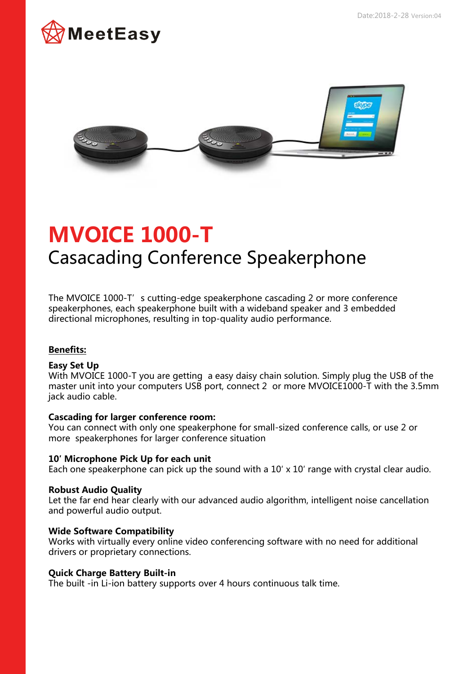



# **MVOICE 1000-T** Casacading Conference Speakerphone

The MVOICE 1000-T's cutting-edge speakerphone cascading 2 or more conference speakerphones, each speakerphone built with a wideband speaker and 3 embedded directional microphones, resulting in top-quality audio performance.

# **Benefits:**

## **Easy Set Up**

With MVOICE 1000-T you are getting a easy daisy chain solution. Simply plug the USB of the master unit into your computers USB port, connect 2 or more MVOICE1000-T with the 3.5mm jack audio cable.

## **Cascading for larger conference room:**

You can connect with only one speakerphone for small-sized conference calls, or use 2 or more speakerphones for larger conference situation

#### **10′ Microphone Pick Up for each unit**

Each one speakerphone can pick up the sound with a 10′ x 10′ range with crystal clear audio.

#### **Robust Audio Quality**

Let the far end hear clearly with our advanced audio algorithm, intelligent noise cancellation and powerful audio output.

#### **Wide Software Compatibility**

Works with virtually every online video conferencing software with no need for additional drivers or proprietary connections.

#### **Quick Charge Battery Built-in**

The built -in Li-ion battery supports over 4 hours continuous talk time.